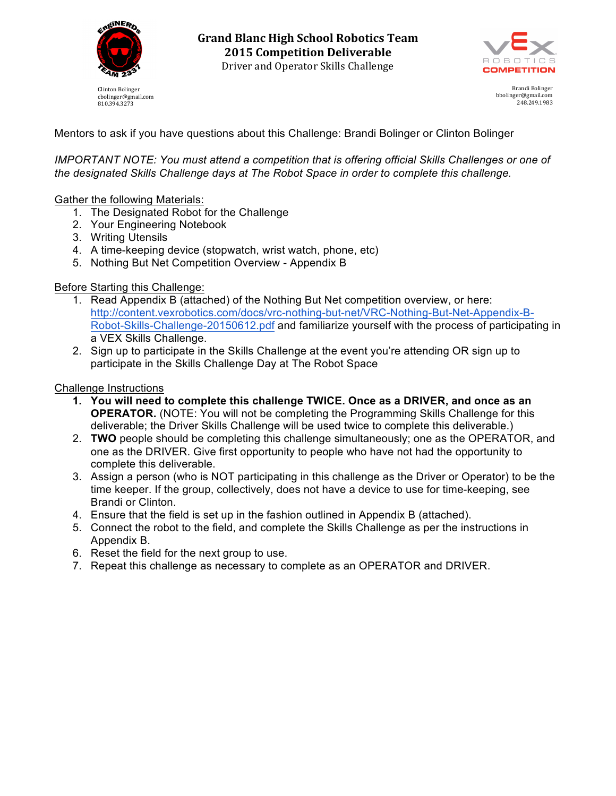

Clinton Bolinger cbolinger@gmail.com 810.394.3273



Brandi Bolinger bbolinger@gmail.com 248.249.1983

Mentors to ask if you have questions about this Challenge: Brandi Bolinger or Clinton Bolinger

*IMPORTANT NOTE: You must attend a competition that is offering official Skills Challenges or one of the designated Skills Challenge days at The Robot Space in order to complete this challenge.*

## Gather the following Materials:

- 1. The Designated Robot for the Challenge
- 2. Your Engineering Notebook
- 3. Writing Utensils
- 4. A time-keeping device (stopwatch, wrist watch, phone, etc)
- 5. Nothing But Net Competition Overview Appendix B

## Before Starting this Challenge:

- 1. Read Appendix B (attached) of the Nothing But Net competition overview, or here: http://content.vexrobotics.com/docs/vrc-nothing-but-net/VRC-Nothing-But-Net-Appendix-B-Robot-Skills-Challenge-20150612.pdf and familiarize yourself with the process of participating in a VEX Skills Challenge.
- 2. Sign up to participate in the Skills Challenge at the event you're attending OR sign up to participate in the Skills Challenge Day at The Robot Space

## Challenge Instructions

- **1. You will need to complete this challenge TWICE. Once as a DRIVER, and once as an OPERATOR.** (NOTE: You will not be completing the Programming Skills Challenge for this deliverable; the Driver Skills Challenge will be used twice to complete this deliverable.)
- 2. **TWO** people should be completing this challenge simultaneously; one as the OPERATOR, and one as the DRIVER. Give first opportunity to people who have not had the opportunity to complete this deliverable.
- 3. Assign a person (who is NOT participating in this challenge as the Driver or Operator) to be the time keeper. If the group, collectively, does not have a device to use for time-keeping, see Brandi or Clinton.
- 4. Ensure that the field is set up in the fashion outlined in Appendix B (attached).
- 5. Connect the robot to the field, and complete the Skills Challenge as per the instructions in Appendix B.
- 6. Reset the field for the next group to use.
- 7. Repeat this challenge as necessary to complete as an OPERATOR and DRIVER.